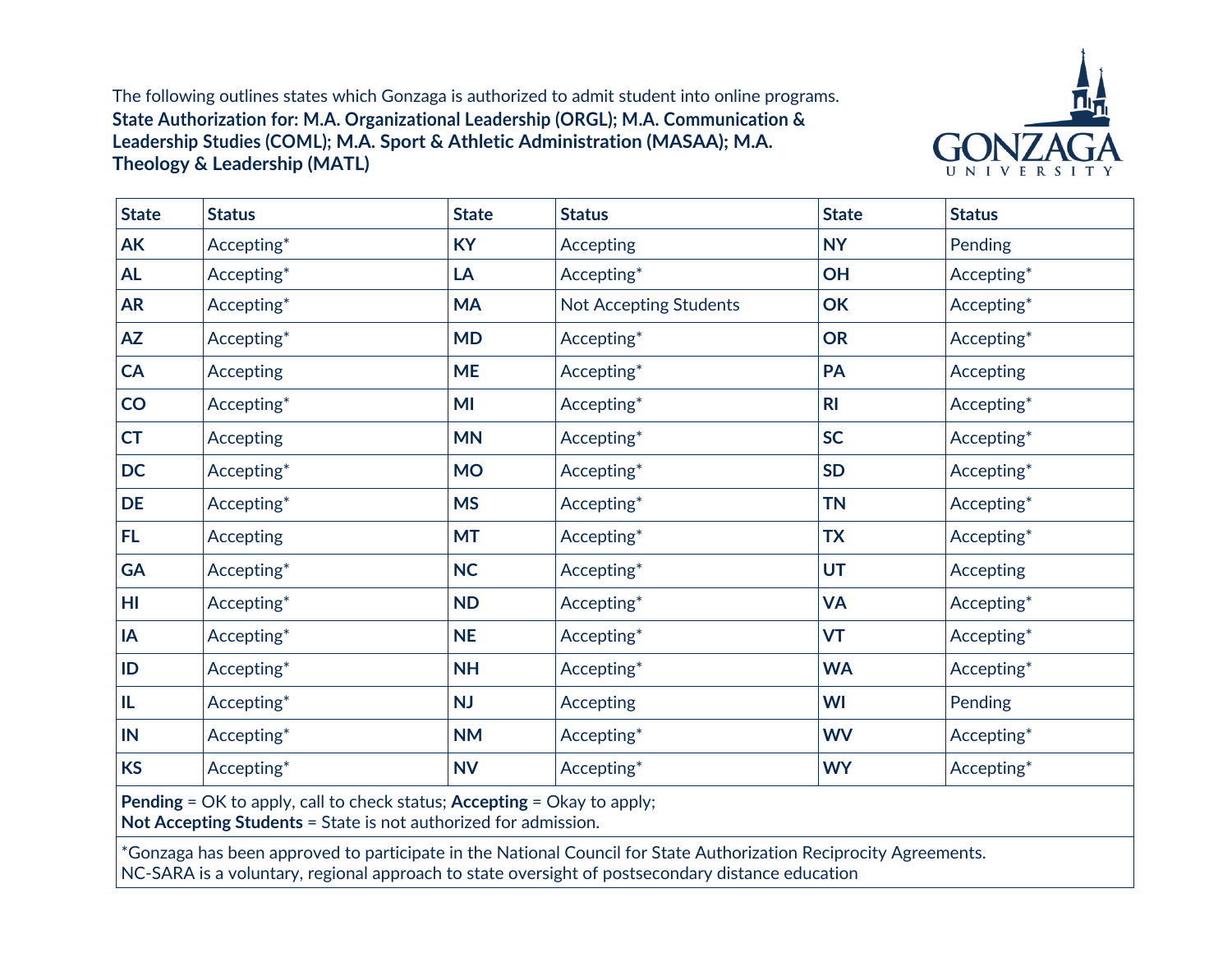The following outlines states which Gonzaga is authorized to admit student into online programs. **State Authorization for: M.A. Organizational Leadership (ORGL); M.A. Communication & Leadership Studies (COML); M.A. Sport & Athletic Administration (MASAA); M.A. Theology & Leadership (MATL)**



| <b>State</b> | <b>Status</b>    | <b>State</b> | <b>Status</b>                 | <b>State</b>   | <b>Status</b> |
|--------------|------------------|--------------|-------------------------------|----------------|---------------|
| AK           | Accepting*       | <b>KY</b>    | <b>Accepting</b>              | <b>NY</b>      | Pending       |
| <b>AL</b>    | Accepting*       | LA           | Accepting*                    | OH             | Accepting*    |
| <b>AR</b>    | Accepting*       | <b>MA</b>    | <b>Not Accepting Students</b> | OK             | Accepting*    |
| <b>AZ</b>    | Accepting*       | <b>MD</b>    | Accepting*                    | <b>OR</b>      | Accepting*    |
| <b>CA</b>    | <b>Accepting</b> | <b>ME</b>    | Accepting*                    | PA             | Accepting     |
| CO           | Accepting*       | MI           | Accepting*                    | R <sub>l</sub> | Accepting*    |
| <b>CT</b>    | Accepting        | <b>MN</b>    | Accepting*                    | <b>SC</b>      | Accepting*    |
| <b>DC</b>    | Accepting*       | <b>MO</b>    | Accepting*                    | <b>SD</b>      | Accepting*    |
| <b>DE</b>    | Accepting*       | <b>MS</b>    | Accepting*                    | <b>TN</b>      | Accepting*    |
| FL.          | <b>Accepting</b> | <b>MT</b>    | Accepting*                    | <b>TX</b>      | Accepting*    |
| <b>GA</b>    | Accepting*       | <b>NC</b>    | Accepting*                    | <b>UT</b>      | Accepting     |
| HI           | Accepting*       | <b>ND</b>    | Accepting*                    | <b>VA</b>      | Accepting*    |
| IA           | Accepting*       | <b>NE</b>    | Accepting*                    | <b>VT</b>      | Accepting*    |
| ID           | Accepting*       | <b>NH</b>    | Accepting*                    | <b>WA</b>      | Accepting*    |
| IL.          | Accepting*       | <b>NJ</b>    | <b>Accepting</b>              | WI             | Pending       |
| IN           | Accepting*       | <b>NM</b>    | Accepting*                    | <b>WV</b>      | Accepting*    |
| <b>KS</b>    | Accepting*       | <b>NV</b>    | Accepting*                    | <b>WY</b>      | Accepting*    |

**Pending** = OK to apply, call to check status; **Accepting** = Okay to apply;

**Not Accepting Students** = State is not authorized for admission.

\*Gonzaga has been approved to participate in the National Council for State Authorization Reciprocity Agreements. NC-SARA is a voluntary, regional approach to state oversight of postsecondary distance education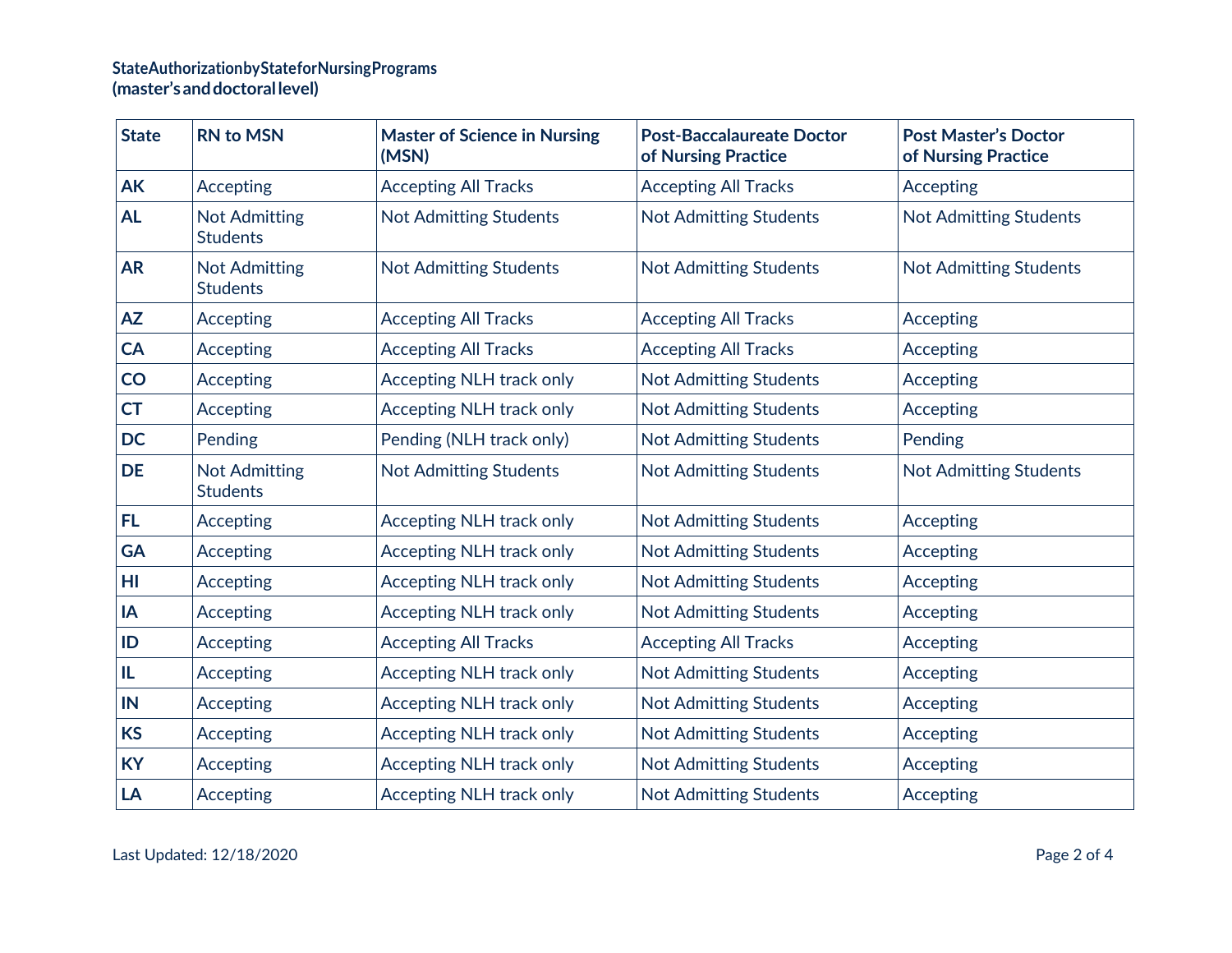## **StateAuthorizationbyStateforNursingPrograms (master'sanddoctorallevel)**

| <b>State</b> | <b>RN to MSN</b>                        | <b>Master of Science in Nursing</b><br>(MSN) | <b>Post-Baccalaureate Doctor</b><br>of Nursing Practice | <b>Post Master's Doctor</b><br>of Nursing Practice |
|--------------|-----------------------------------------|----------------------------------------------|---------------------------------------------------------|----------------------------------------------------|
| <b>AK</b>    | Accepting                               | <b>Accepting All Tracks</b>                  | <b>Accepting All Tracks</b>                             | Accepting                                          |
| <b>AL</b>    | <b>Not Admitting</b><br><b>Students</b> | <b>Not Admitting Students</b>                | <b>Not Admitting Students</b>                           | <b>Not Admitting Students</b>                      |
| <b>AR</b>    | <b>Not Admitting</b><br><b>Students</b> | <b>Not Admitting Students</b>                | <b>Not Admitting Students</b>                           | <b>Not Admitting Students</b>                      |
| <b>AZ</b>    | Accepting                               | <b>Accepting All Tracks</b>                  | <b>Accepting All Tracks</b>                             | Accepting                                          |
| CA           | Accepting                               | <b>Accepting All Tracks</b>                  | <b>Accepting All Tracks</b>                             | Accepting                                          |
| CO           | Accepting                               | Accepting NLH track only                     | <b>Not Admitting Students</b>                           | Accepting                                          |
| <b>CT</b>    | Accepting                               | <b>Accepting NLH track only</b>              | <b>Not Admitting Students</b>                           | Accepting                                          |
| <b>DC</b>    | Pending                                 | Pending (NLH track only)                     | <b>Not Admitting Students</b>                           | Pending                                            |
| <b>DE</b>    | <b>Not Admitting</b><br><b>Students</b> | <b>Not Admitting Students</b>                | <b>Not Admitting Students</b>                           | <b>Not Admitting Students</b>                      |
| FL           | Accepting                               | <b>Accepting NLH track only</b>              | <b>Not Admitting Students</b>                           | Accepting                                          |
| <b>GA</b>    | Accepting                               | <b>Accepting NLH track only</b>              | <b>Not Admitting Students</b>                           | Accepting                                          |
| HI           | Accepting                               | <b>Accepting NLH track only</b>              | <b>Not Admitting Students</b>                           | Accepting                                          |
| IA           | Accepting                               | <b>Accepting NLH track only</b>              | <b>Not Admitting Students</b>                           | Accepting                                          |
| ID           | Accepting                               | <b>Accepting All Tracks</b>                  | <b>Accepting All Tracks</b>                             | Accepting                                          |
| IL           | Accepting                               | <b>Accepting NLH track only</b>              | <b>Not Admitting Students</b>                           | Accepting                                          |
| IN           | Accepting                               | <b>Accepting NLH track only</b>              | <b>Not Admitting Students</b>                           | Accepting                                          |
| <b>KS</b>    | Accepting                               | <b>Accepting NLH track only</b>              | <b>Not Admitting Students</b>                           | Accepting                                          |
| <b>KY</b>    | Accepting                               | <b>Accepting NLH track only</b>              | <b>Not Admitting Students</b>                           | Accepting                                          |
| LA           | Accepting                               | <b>Accepting NLH track only</b>              | <b>Not Admitting Students</b>                           | Accepting                                          |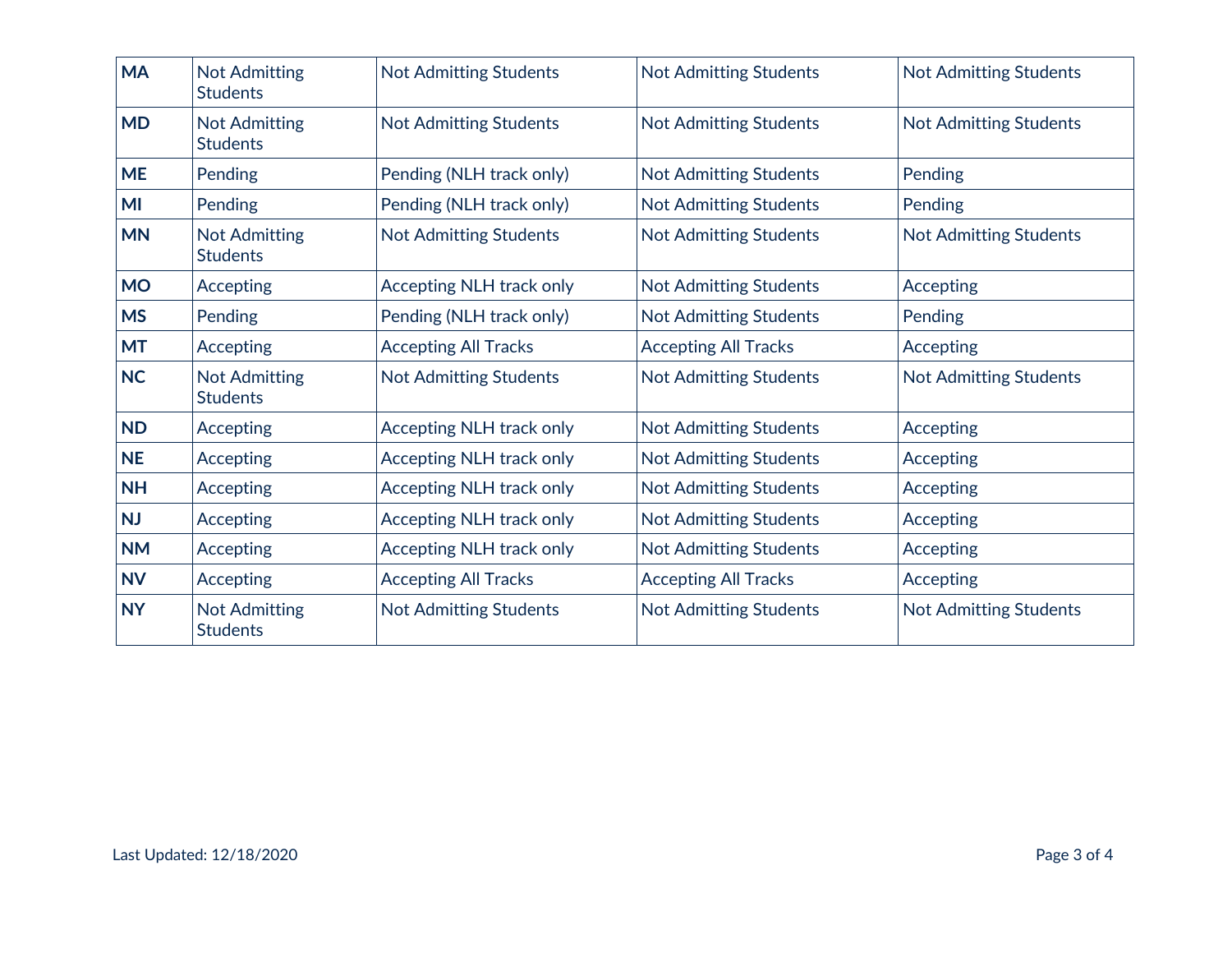| <b>MA</b> | <b>Not Admitting</b><br><b>Students</b> | <b>Not Admitting Students</b>   | <b>Not Admitting Students</b> | <b>Not Admitting Students</b> |
|-----------|-----------------------------------------|---------------------------------|-------------------------------|-------------------------------|
| <b>MD</b> | <b>Not Admitting</b><br><b>Students</b> | <b>Not Admitting Students</b>   | <b>Not Admitting Students</b> | <b>Not Admitting Students</b> |
| <b>ME</b> | Pending                                 | Pending (NLH track only)        | <b>Not Admitting Students</b> | Pending                       |
| MI        | Pending                                 | Pending (NLH track only)        | <b>Not Admitting Students</b> | Pending                       |
| <b>MN</b> | <b>Not Admitting</b><br><b>Students</b> | <b>Not Admitting Students</b>   | <b>Not Admitting Students</b> | <b>Not Admitting Students</b> |
| <b>MO</b> | Accepting                               | <b>Accepting NLH track only</b> | <b>Not Admitting Students</b> | Accepting                     |
| <b>MS</b> | Pending                                 | Pending (NLH track only)        | <b>Not Admitting Students</b> | Pending                       |
| <b>MT</b> | Accepting                               | <b>Accepting All Tracks</b>     | <b>Accepting All Tracks</b>   | Accepting                     |
| <b>NC</b> | <b>Not Admitting</b><br><b>Students</b> | <b>Not Admitting Students</b>   | <b>Not Admitting Students</b> | <b>Not Admitting Students</b> |
| <b>ND</b> | Accepting                               | <b>Accepting NLH track only</b> | <b>Not Admitting Students</b> | Accepting                     |
| <b>NE</b> | Accepting                               | <b>Accepting NLH track only</b> | <b>Not Admitting Students</b> | Accepting                     |
| <b>NH</b> | Accepting                               | <b>Accepting NLH track only</b> | <b>Not Admitting Students</b> | Accepting                     |
| <b>NJ</b> | Accepting                               | <b>Accepting NLH track only</b> | <b>Not Admitting Students</b> | Accepting                     |
| <b>NM</b> | Accepting                               | Accepting NLH track only        | Not Admitting Students        | Accepting                     |
| <b>NV</b> | Accepting                               | <b>Accepting All Tracks</b>     | <b>Accepting All Tracks</b>   | Accepting                     |
| <b>NY</b> | <b>Not Admitting</b><br><b>Students</b> | Not Admitting Students          | Not Admitting Students        | Not Admitting Students        |